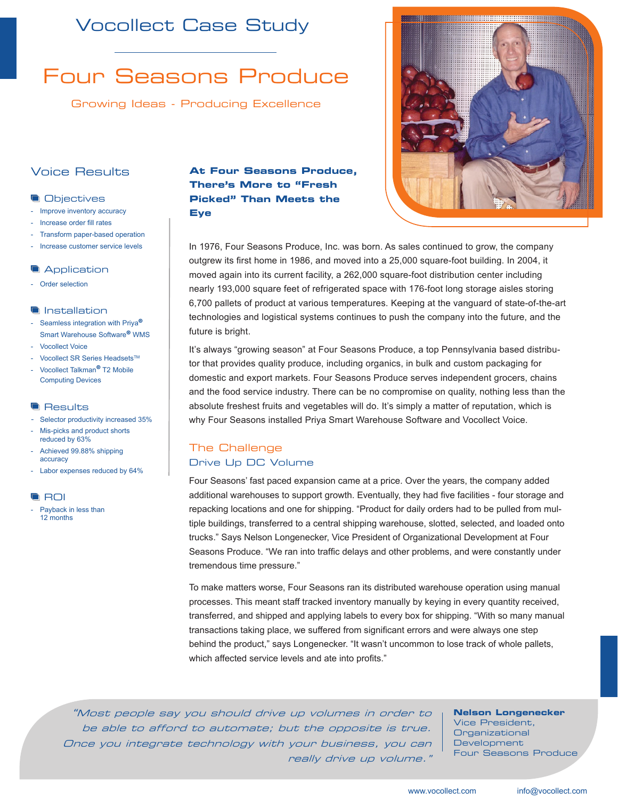## Vocollect Case Study

# Four Seasons Produce

Growing Ideas - Producing Excellence

### Voice Results

#### **Objectives**

- Improve inventory accuracy
- Increase order fill rates
- Transform paper-based operation
- Increase customer service levels

#### **Application**

- Order selection

#### **Installation**

- Seamless integration with Priya**®** Smart Warehouse Software**®** WMS
- Vocollect Voice
- Vocollect SR Series Headsets™
- Vocollect Talkman**®** T2 Mobile Computing Devices

#### **Results**

- Selector productivity increased 35%
- Mis-picks and product shorts reduced by 63%
- Achieved 99.88% shipping accuracy
- Labor expenses reduced by 64%

#### **ROI**

Payback in less than 12 months

#### **At Four Seasons Produce, There's More to "Fresh Picked" Than Meets the Eye**



In 1976, Four Seasons Produce, Inc. was born. As sales continued to grow, the company outgrew its first home in 1986, and moved into a 25,000 square-foot building. In 2004, it moved again into its current facility, a 262,000 square-foot distribution center including nearly 193,000 square feet of refrigerated space with 176-foot long storage aisles storing 6,700 pallets of product at various temperatures. Keeping at the vanguard of state-of-the-art technologies and logistical systems continues to push the company into the future, and the future is bright.

It's always "growing season" at Four Seasons Produce, a top Pennsylvania based distributor that provides quality produce, including organics, in bulk and custom packaging for domestic and export markets. Four Seasons Produce serves independent grocers, chains and the food service industry. There can be no compromise on quality, nothing less than the absolute freshest fruits and vegetables will do. It's simply a matter of reputation, which is why Four Seasons installed Priya Smart Warehouse Software and Vocollect Voice.

#### The Challenge Drive Up DC Volume

Four Seasons' fast paced expansion came at a price. Over the years, the company added additional warehouses to support growth. Eventually, they had five facilities - four storage and repacking locations and one for shipping. "Product for daily orders had to be pulled from multiple buildings, transferred to a central shipping warehouse, slotted, selected, and loaded onto trucks." Says Nelson Longenecker, Vice President of Organizational Development at Four Seasons Produce. "We ran into traffic delays and other problems, and were constantly under tremendous time pressure."

To make matters worse, Four Seasons ran its distributed warehouse operation using manual processes. This meant staff tracked inventory manually by keying in every quantity received, transferred, and shipped and applying labels to every box for shipping. "With so many manual transactions taking place, we suffered from significant errors and were always one step behind the product," says Longenecker. "It wasn't uncommon to lose track of whole pallets, which affected service levels and ate into profits."

"Most people say you should drive up volumes in order to be able to afford to automate; but the opposite is true. Once you integrate technology with your business, you can really drive up volume."

**Nelson Longenecker**  Vice President, Organizational **Development** Four Seasons Produce